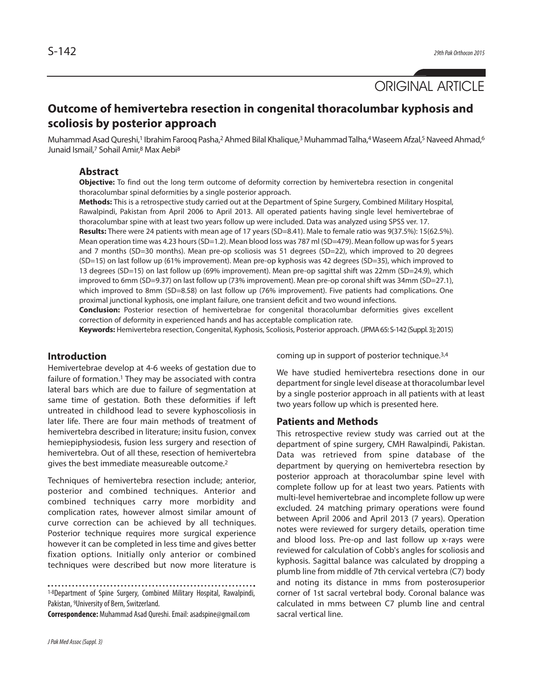ORIGINAL ARTICLE

# **Outcome of hemivertebra resection in congenital thoracolumbar kyphosis and scoliosis by posterior approach**

Muhammad Asad Qureshi,<sup>1</sup> Ibrahim Farooq Pasha,<sup>2</sup> Ahmed Bilal Khalique,<sup>3</sup> Muhammad Talha,4 Waseem Afzal,<sup>5</sup> Naveed Ahmad,<sup>6</sup> Junaid Ismail, <sup>7</sup> Sohail Amir, <sup>8</sup> Max Aebi 8

## **Abstract**

**Objective:** To find out the long term outcome of deformity correction by hemivertebra resection in congenital thoracolumbar spinal deformities by a single posterior approach.

**Methods:** This is a retrospective study carried out at the Department of Spine Surgery, Combined Military Hospital, Rawalpindi, Pakistan from April 2006 to April 2013. All operated patients having single level hemivertebrae of thoracolumbar spine with at least two years follow up were included. Data was analyzed using SPSS ver. 17.

**Results:** There were 24 patients with mean age of 17 years (SD=8.41). Male to female ratio was 9(37.5%): 15(62.5%). Mean operation time was 4.23 hours (SD=1.2). Mean blood loss was 787 ml (SD=479). Mean follow up was for 5 years and 7 months (SD=30 months). Mean pre-op scoliosis was 51 degrees (SD=22), which improved to 20 degrees (SD=15) on last follow up (61% improvement). Mean pre-op kyphosis was 42 degrees (SD=35), which improved to 13 degrees (SD=15) on last follow up (69% improvement). Mean pre-op sagittal shift was 22mm (SD=24.9), which improved to 6mm (SD=9.37) on last follow up (73% improvement). Mean pre-op coronal shift was 34mm (SD=27.1), which improved to 8mm (SD=8.58) on last follow up (76% improvement). Five patients had complications. One proximal junctional kyphosis, one implant failure, one transient deficit and two wound infections.

**Conclusion:** Posterior resection of hemivertebrae for congenital thoracolumbar deformities gives excellent correction of deformity in experienced hands and has acceptable complication rate.

**Keywords:** Hemivertebra resection, Congenital, Kyphosis, Scoliosis, Posterior approach. (JPMA65:S-142(Suppl.3);2015)

### **Introduction**

Hemivertebrae develop at 4-6 weeks of gestation due to failure of formation. <sup>1</sup> They may be associated with contra lateral bars which are due to failure of segmentation at same time of gestation. Both these deformities if left untreated in childhood lead to severe kyphoscoliosis in later life. There are four main methods of treatment of hemivertebra described in literature; insitu fusion, convex hemiepiphysiodesis, fusion less surgery and resection of hemivertebra. Out of all these, resection of hemivertebra gives the best immediate measureable outcome. 2

Techniques of hemivertebra resection include; anterior, posterior and combined techniques. Anterior and combined techniques carry more morbidity and complication rates, however almost similar amount of curve correction can be achieved by all techniques. Posterior technique requires more surgical experience however it can be completed in less time and gives better fixation options. Initially only anterior or combined techniques were described but now more literature is

1-8Department of Spine Surgery, Combined Military Hospital, Rawalpindi, Pakistan, <sup>9</sup>University of Bern, Switzerland.

**Correspondence:** Muhammad Asad Qureshi.Email:asadspine@gmail.com

coming up in support of posterior technique.<sup>3,4</sup>

We have studied hemivertebra resections done in our department for single level disease at thoracolumbar level by a single posterior approach in all patients with at least two years follow up which is presented here.

#### **Patients and Methods**

This retrospective review study was carried out at the department of spine surgery, CMH Rawalpindi, Pakistan. Data was retrieved from spine database of the department by querying on hemivertebra resection by posterior approach at thoracolumbar spine level with complete follow up for at least two years. Patients with multi-level hemivertebrae and incomplete follow up were excluded. 24 matching primary operations were found between April 2006 and April 2013 (7 years). Operation notes were reviewed for surgery details, operation time and blood loss. Pre-op and last follow up x-rays were reviewed for calculation of Cobb's angles for scoliosis and kyphosis. Sagittal balance was calculated by dropping a plumb line from middle of 7th cervical vertebra (C7) body and noting its distance in mms from posterosuperior corner of 1st sacral vertebral body. Coronal balance was calculated in mms between C7 plumb line and central sacral vertical line.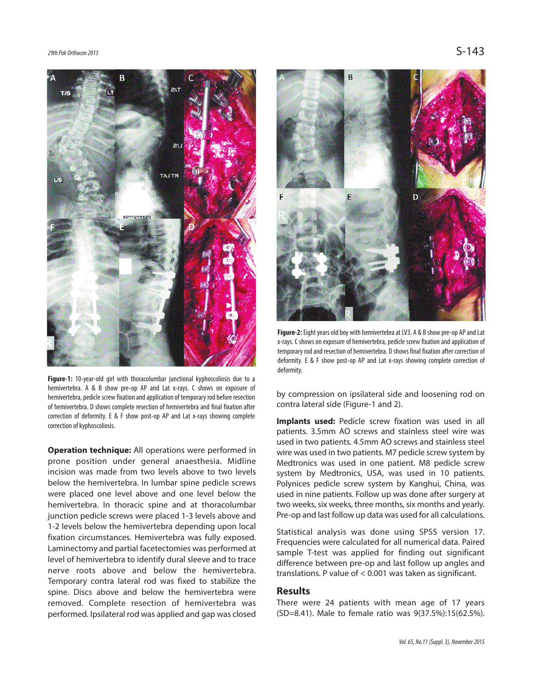

**Figure-1:** 10-year-old girl with thoracolumbar junctional kyphoscoliosis due to a hemivertebra. A & B show pre-op AP and Lat x-rays. C shows on exposure of hemivertebra, pedicle screw fixation and application of temporary rod before resection of hemivertebra. D shows complete resection of hemivertebra and final fixation after correction of deformity. E & F show post-op AP and Lat x-rays showing complete correction of kyphoscoliosis.

**Operation technique:** All operations were performed in prone position under general anaesthesia. Midline incision was made from two levels above to two levels below the hemivertebra. In lumbar spine pedicle screws were placed one level above and one level below the hemivertebra. In thoracic spine and at thoracolumbar junction pedicle screws were placed 1-3 levels above and 1-2 levels below the hemivertebra depending upon local fixation circumstances. Hemivertebra was fully exposed. Laminectomy and partial facetectomies was performed at level of hemivertebra to identify dural sleeve and to trace nerve roots above and below the hemivertebra. Temporary contra lateral rod was fixed to stabilize the spine. Discs above and below the hemivertebra were removed. Complete resection of hemivertebra was performed. Ipsilateral rod was applied and gap was closed



**Figure-2:** Eight years old boy with hemivertebra at LV3. A & B show pre-op AP and Lat x-rays. C shows on exposure of hemivertebra, pedicle screw fixation and application of temporary rod and resection of hemivertebra. D shows final fixation after correction of deformity. E & F show post-op AP and Lat x-rays showing complete correction of deformity.

by compression on ipsilateral side and loosening rod on contra lateral side (Figure-1 and 2).

**Implants used:** Pedicle screw fixation was used in all patients. 3.5mm AO screws and stainless steel wire was used in two patients. 4.5mm AO screws and stainless steel wire was used in two patients. M7 pedicle screw system by Medtronics was used in one patient. M8 pedicle screw system by Medtronics, USA, was used in 10 patients. Polynices pedicle screw system by Kanghui, China, was used in nine patients. Follow up was done after surgery at two weeks, six weeks, three months, six months and yearly. Pre-op and last follow up data was used for all calculations.

Statistical analysis was done using SPSS version 17. Frequencies were calculated for all numerical data. Paired sample T-test was applied for finding out significant difference between pre-op and last follow up angles and translations. P value of < 0.001 was taken as significant.

#### **Results**

There were 24 patients with mean age of 17 years (SD=8.41). Male to female ratio was 9(37.5%):15(62.5%).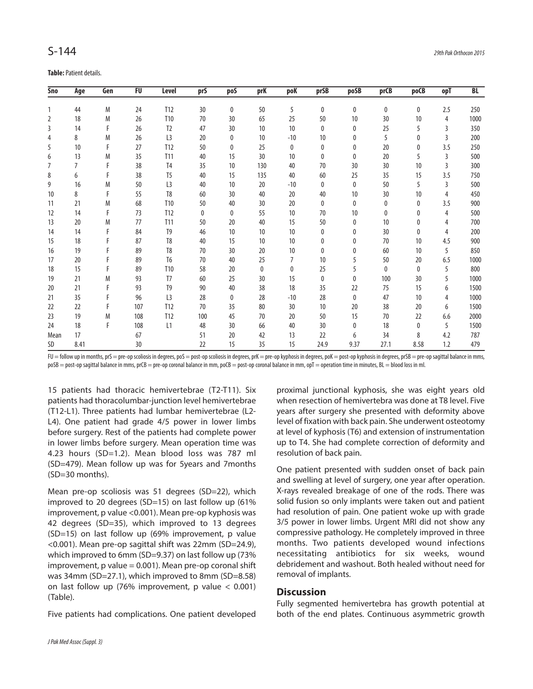**Table: Patient details.** 

| Sno            | Age  | Gen | FU  | <b>Level</b>    | prS | pos             | prK | poK            | prSB         | poSB         | prCB | poCB         | opT | BL   |
|----------------|------|-----|-----|-----------------|-----|-----------------|-----|----------------|--------------|--------------|------|--------------|-----|------|
| $\mathbf{1}$   | 44   | M   | 24  | <b>T12</b>      | 30  | $\mathbf{0}$    | 50  | 5              | $\mathbf{0}$ | $\mathbf{0}$ | 0    | $\mathbf{0}$ | 2.5 | 250  |
| 2              | 18   | M   | 26  | T10             | 70  | 30              | 65  | 25             | 50           | 10           | 30   | 10           | 4   | 1000 |
| 3              | 14   | F   | 26  | T <sub>2</sub>  | 47  | 30              | 10  | 10             | $\mathbf{0}$ | 0            | 25   | 5            | 3   |      |
|                |      |     |     |                 |     |                 |     |                |              |              |      |              |     | 350  |
| 4              | 8    | M   | 26  | L <sub>3</sub>  | 20  | 0               | 10  | $-10$          | 10           | 0            | 5    | $\mathbf{0}$ | 3   | 200  |
| 5              | 10   | F   | 27  | T12             | 50  | 0               | 25  | 0              | 0            | 0            | 20   | 0            | 3.5 | 250  |
| 6              | 13   | M   | 35  | T11             | 40  | 15              | 30  | 10             | $\mathbf{0}$ | $\mathbf{0}$ | 20   | 5            | 3   | 500  |
| $\overline{7}$ | 7    | F   | 38  | T <sub>4</sub>  | 35  | 10              | 130 | 40             | 70           | 30           | 30   | 10           | 3   | 300  |
| 8              | 6    | F   | 38  | T <sub>5</sub>  | 40  | 15              | 135 | 40             | 60           | 25           | 35   | 15           | 3.5 | 750  |
| 9              | 16   | M   | 50  | L <sub>3</sub>  | 40  | 10              | 20  | $-10$          | 0            | 0            | 50   | 5            | 3   | 500  |
| 10             | 8    | F   | 55  | T <sub>8</sub>  | 60  | 30              | 40  | 20             | 40           | 10           | 30   | 10           | 4   | 450  |
| 11             | 21   | M   | 68  | T <sub>10</sub> | 50  | 40              | 30  | 20             | 0            | 0            | 0    | 0            | 3.5 | 900  |
| 12             | 14   | F   | 73  | T <sub>12</sub> | 0   | $\mathbf{0}$    | 55  | 10             | 70           | 10           | 0    | $\mathbf{0}$ | 4   | 500  |
| 13             | 20   | M   | 77  | T <sub>11</sub> | 50  | 20              | 40  | 15             | 50           | 0            | 10   | 0            | 4   | 700  |
| 14             | 14   | F   | 84  | T <sub>9</sub>  | 46  | 10 <sup>°</sup> | 10  | 10             | 0            | 0            | 30   | 0            | 4   | 200  |
| 15             | 18   | F   | 87  | T <sub>8</sub>  | 40  | 15              | 10  | 10             | 0            | 0            | 70   | 10           | 4.5 | 900  |
| 16             | 19   | F   | 89  | T <sub>8</sub>  | 70  | 30              | 20  | 10             | $\mathbf{0}$ | 0            | 60   | 10           | 5   | 850  |
| 17             | 20   | F   | 89  | T <sub>6</sub>  | 70  | 40              | 25  | $\overline{7}$ | 10           | 5            | 50   | 20           | 6.5 | 1000 |
| 18             | 15   | F   | 89  | T <sub>10</sub> | 58  | 20              | 0   | 0              | 25           | 5            | 0    | $\mathbf{0}$ | 5   | 800  |
| 19             | 21   | M   | 93  | T <sub>7</sub>  | 60  | 25              | 30  | 15             | 0            | 0            | 100  | 30           | 5   | 1000 |
| 20             | 21   | F   | 93  | T <sub>9</sub>  | 90  | 40              | 38  | 18             | 35           | 22           | 75   | 15           | 6   | 1500 |
| 21             | 35   | F   | 96  | L <sub>3</sub>  | 28  | 0               | 28  | $-10$          | 28           | $\mathbf{0}$ | 47   | 10           | 4   | 1000 |
| 22             | 22   | F   | 107 | T12             | 70  | 35              | 80  | 30             | 10           | 20           | 38   | 20           | 6   | 1500 |
| 23             | 19   | M   | 108 | T <sub>12</sub> | 100 | 45              | 70  | 20             | 50           | 15           | 70   | 22           | 6.6 | 2000 |
| 24             | 18   | F   | 108 | L1              | 48  | 30              | 66  | 40             | 30           | 0            | 18   | 0            | 5   | 1500 |
| Mean           | 17   |     | 67  |                 | 51  | 20              | 42  | 13             | 22           | 6            | 34   | 8            | 4.2 | 787  |
| SD             | 8.41 |     | 30  |                 | 22  | 15              | 35  | 15             | 24.9         | 9.37         | 27.1 | 8.58         | 1.2 | 479  |

 $FU =$  follow up in months, prS = pre-op scoliosis in degrees, poS = post-op scoliosis in degrees, prK = pre-op kyphosis in degrees, poK = post-op kyphosis in degrees, prSB = pre-op sagittal balance in mms, poSB = post-op sagittal balance in mms, prCB = pre-op coronal balance in mm, poCB = post-op coronal balance in mm, opT = operation time in minutes, BL = blood loss in ml.

15 patients had thoracic hemivertebrae (T2-T11). Six patients had thoracolumbar-junction level hemivertebrae (T12-L1). Three patients had lumbar hemivertebrae (L2- L4). One patient had grade 4/5 power in lower limbs before surgery. Rest of the patients had complete power in lower limbs before surgery. Mean operation time was 4.23 hours (SD=1.2). Mean blood loss was 787 ml (SD=479). Mean follow up was for 5years and 7months (SD=30 months).

Mean pre-op scoliosis was 51 degrees (SD=22), which improved to 20 degrees (SD=15) on last follow up (61% improvement, p value <0.001). Mean pre-op kyphosis was 42 degrees (SD=35), which improved to 13 degrees (SD=15) on last follow up (69% improvement, p value <0.001). Mean pre-op sagittal shift was 22mm (SD=24.9), which improved to 6mm (SD=9.37) on last follow up (73% improvement, p value  $= 0.001$ ). Mean pre-op coronal shift was 34mm (SD=27.1), which improved to 8mm (SD=8.58) on last follow up (76% improvement, p value < 0.001) (Table).

Five patients had complications. One patient developed

proximal junctional kyphosis, she was eight years old when resection of hemivertebra was done at T8 level. Five years after surgery she presented with deformity above level of fixation with back pain. She underwent osteotomy at level of kyphosis (T6) and extension of instrumentation up to T4. She had complete correction of deformity and resolution of back pain.

One patient presented with sudden onset of back pain and swelling at level of surgery, one year after operation. X-rays revealed breakage of one of the rods. There was solid fusion so only implants were taken out and patient had resolution of pain. One patient woke up with grade 3/5 power in lower limbs. Urgent MRI did not show any compressive pathology. He completely improved in three months. Two patients developed wound infections necessitating antibiotics for six weeks, wound debridement and washout. Both healed without need for removal of implants.

#### **Discussion**

Fully segmented hemivertebra has growth potential at both of the end plates. Continuous asymmetric growth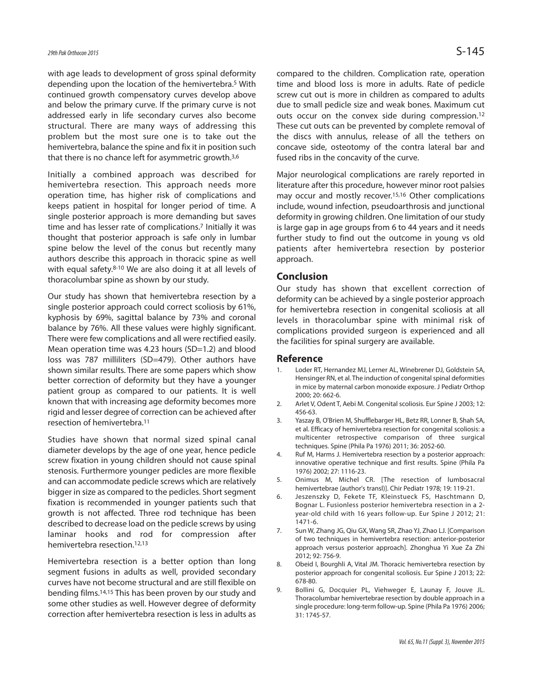with age leads to development of gross spinal deformity depending upon the location of the hemivertebra. <sup>5</sup> With continued growth compensatory curves develop above and below the primary curve. If the primary curve is not addressed early in life secondary curves also become structural. There are many ways of addressing this problem but the most sure one is to take out the hemivertebra, balance the spine and fix it in position such that there is no chance left for asymmetric growth.<sup>3,6</sup>

Initially a combined approach was described for hemivertebra resection. This approach needs more operation time, has higher risk of complications and keeps patient in hospital for longer period of time. A single posterior approach is more demanding but saves time and has lesser rate of complications. <sup>7</sup> Initially it was thought that posterior approach is safe only in lumbar spine below the level of the conus but recently many authors describe this approach in thoracic spine as well with equal safety. 8-10 We are also doing it at all levels of thoracolumbar spine as shown by our study.

Our study has shown that hemivertebra resection by a single posterior approach could correct scoliosis by 61%, kyphosis by 69%, sagittal balance by 73% and coronal balance by 76%. All these values were highly significant. There were few complications and all were rectified easily. Mean operation time was 4.23 hours (SD=1.2) and blood loss was 787 milliliters (SD=479). Other authors have shown similar results. There are some papers which show better correction of deformity but they have a younger patient group as compared to our patients. It is well known that with increasing age deformity becomes more rigid and lesser degree of correction can be achieved after resection of hemivertebra. 11

Studies have shown that normal sized spinal canal diameter develops by the age of one year, hence pedicle screw fixation in young children should not cause spinal stenosis. Furthermore younger pedicles are more flexible and can accommodate pedicle screws which are relatively bigger in size as compared to the pedicles. Short segment fixation is recommended in younger patients such that growth is not affected. Three rod technique has been described to decrease load on the pedicle screws by using laminar hooks and rod for compression after hemivertebra resection. 12,13

Hemivertebra resection is a better option than long segment fusions in adults as well, provided secondary curves have not become structural and are still flexible on bending films. 14,15 This has been proven by our study and some other studies as well. However degree of deformity correction after hemivertebra resection is less in adults as

compared to the children. Complication rate, operation time and blood loss is more in adults. Rate of pedicle screw cut out is more in children as compared to adults due to small pedicle size and weak bones. Maximum cut outs occur on the convex side during compression.<sup>12</sup> These cut outs can be prevented by complete removal of the discs with annulus, release of all the tethers on concave side, osteotomy of the contra lateral bar and fused ribs in the concavity of the curve.

Major neurological complications are rarely reported in literature after this procedure, however minor root palsies may occur and mostly recover. 15,16 Other complications include, wound infection, pseudoarthrosis and junctional deformity in growing children. One limitation of our study is large gap in age groups from 6 to 44 years and it needs further study to find out the outcome in young vs old patients after hemivertebra resection by posterior approach.

#### **Conclusion**

Our study has shown that excellent correction of deformity can be achieved by a single posterior approach for hemivertebra resection in congenital scoliosis at all levels in thoracolumbar spine with minimal risk of complications provided surgeon is experienced and all the facilities for spinal surgery are available.

#### **Reference**

- 1. Loder RT, Hernandez MJ, Lerner AL, Winebrener DJ, Goldstein SA, Hensinger RN, et al. The induction of congenital spinal deformities in mice by maternal carbon monoxide exposure. J Pediatr Orthop 2000; 20: 662-6.
- 2. Arlet V, Odent T, Aebi M. Congenital scoliosis. Eur Spine J 2003; 12: 456-63.
- 3. Yaszay B, O'Brien M, Shufflebarger HL, Betz RR, Lonner B, Shah SA, et al. Efficacy of hemivertebra resection for congenital scoliosis: a multicenter retrospective comparison of three surgical techniques. Spine (Phila Pa 1976) 2011; 36: 2052-60.
- 4. Ruf M, Harms J. Hemivertebra resection by a posterior approach: innovative operative technique and first results. Spine (Phila Pa 1976) 2002; 27: 1116-23.
- 5. Onimus M, Michel CR. [The resection of lumbosacral hemivertebrae (author's transl)]. Chir Pediatr 1978; 19: 119-21.
- 6. Jeszenszky D, Fekete TF, Kleinstueck FS, Haschtmann D, Bognar L. Fusionless posterior hemivertebra resection in a 2 year-old child with 16 years follow-up. Eur Spine J 2012; 21: 1471-6.
- 7. Sun W, Zhang JG, Qiu GX, Wang SR, Zhao YJ, Zhao LJ. [Comparison of two techniques in hemivertebra resection: anterior-posterior approach versus posterior approach]. Zhonghua Yi Xue Za Zhi 2012; 92: 756-9.
- 8. Obeid I, Bourghli A, Vital JM. Thoracic hemivertebra resection by posterior approach for congenital scoliosis. Eur Spine J 2013; 22: 678-80.
- 9. Bollini G, Docquier PL, Viehweger E, Launay F, Jouve JL. Thoracolumbar hemivertebrae resection by double approach in a single procedure: long-term follow-up. Spine (Phila Pa 1976) 2006; 31: 1745-57.